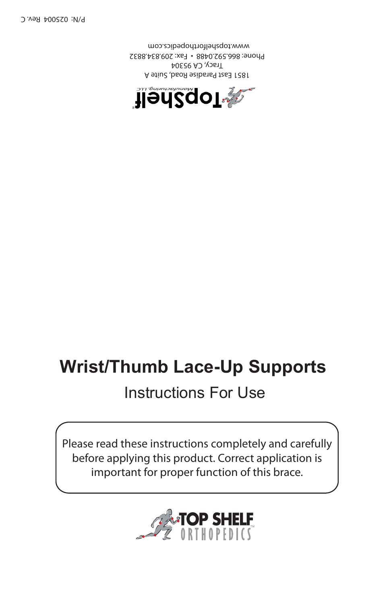

Please read these instructions completely and carefully before applying this product. Correct application is important for proper function of this brace.

## Instructions For Use

## **Wrist/Thumb Lace-Up Supports**



1851 East Paradise Road, Suite A Tracy, CA 95304 Phone: 866.592.0488 • Fax: 209.834.8832 www.topshelforthopedics.com